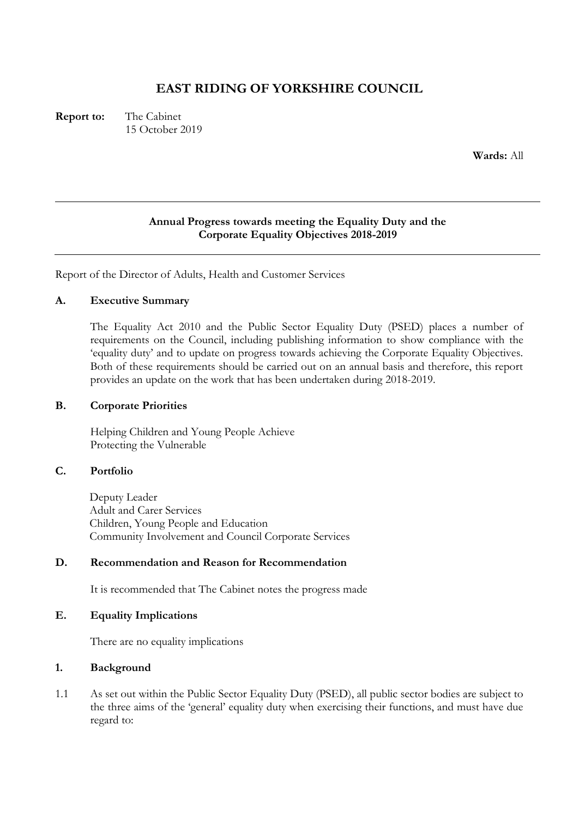# **EAST RIDING OF YORKSHIRE COUNCIL**

**Report to:** The Cabinet 15 October 2019

**Wards:** All

### **Annual Progress towards meeting the Equality Duty and the Corporate Equality Objectives 2018-2019**

Report of the Director of Adults, Health and Customer Services

### **A. Executive Summary**

The Equality Act 2010 and the Public Sector Equality Duty (PSED) places a number of requirements on the Council, including publishing information to show compliance with the 'equality duty' and to update on progress towards achieving the Corporate Equality Objectives. Both of these requirements should be carried out on an annual basis and therefore, this report provides an update on the work that has been undertaken during 2018-2019.

#### **B. Corporate Priorities**

Helping Children and Young People Achieve Protecting the Vulnerable

### **C. Portfolio**

Deputy Leader Adult and Carer Services Children, Young People and Education Community Involvement and Council Corporate Services

### **D. Recommendation and Reason for Recommendation**

It is recommended that The Cabinet notes the progress made

### **E. Equality Implications**

There are no equality implications

### **1. Background**

1.1 As set out within the Public Sector Equality Duty (PSED), all public sector bodies are subject to the three aims of the 'general' equality duty when exercising their functions, and must have due regard to: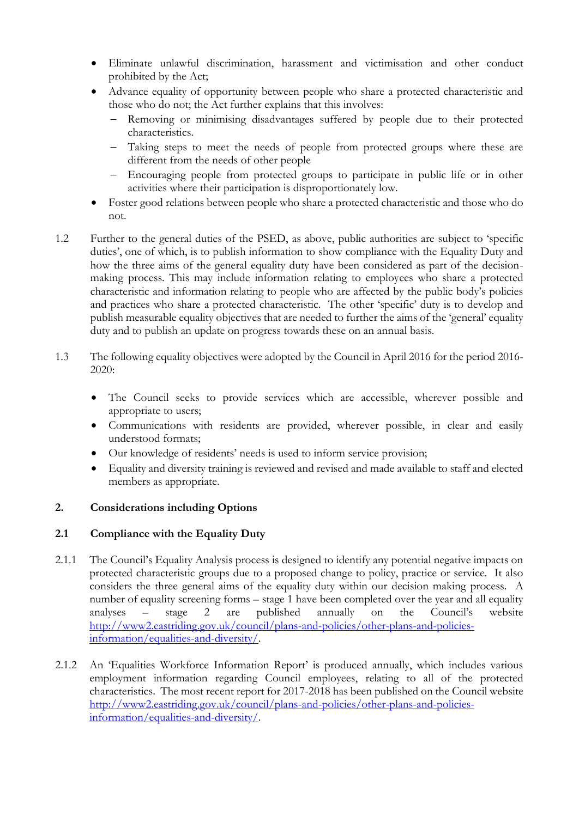- Eliminate unlawful discrimination, harassment and victimisation and other conduct prohibited by the Act;
- Advance equality of opportunity between people who share a protected characteristic and those who do not; the Act further explains that this involves:
	- Removing or minimising disadvantages suffered by people due to their protected characteristics.
	- Taking steps to meet the needs of people from protected groups where these are different from the needs of other people
	- Encouraging people from protected groups to participate in public life or in other activities where their participation is disproportionately low.
- Foster good relations between people who share a protected characteristic and those who do not.
- 1.2 Further to the general duties of the PSED, as above, public authorities are subject to 'specific duties', one of which, is to publish information to show compliance with the Equality Duty and how the three aims of the general equality duty have been considered as part of the decisionmaking process. This may include information relating to employees who share a protected characteristic and information relating to people who are affected by the public body's policies and practices who share a protected characteristic. The other 'specific' duty is to develop and publish measurable equality objectives that are needed to further the aims of the 'general' equality duty and to publish an update on progress towards these on an annual basis.
- 1.3 The following equality objectives were adopted by the Council in April 2016 for the period 2016- 2020:
	- The Council seeks to provide services which are accessible, wherever possible and appropriate to users;
	- Communications with residents are provided, wherever possible, in clear and easily understood formats;
	- Our knowledge of residents' needs is used to inform service provision;
	- Equality and diversity training is reviewed and revised and made available to staff and elected members as appropriate.

# **2. Considerations including Options**

# **2.1 Compliance with the Equality Duty**

- 2.1.1 The Council's Equality Analysis process is designed to identify any potential negative impacts on protected characteristic groups due to a proposed change to policy, practice or service. It also considers the three general aims of the equality duty within our decision making process. A number of equality screening forms – stage 1 have been completed over the year and all equality analyses – stage 2 are published annually on the Council's website [http://www2.eastriding.gov.uk/council/plans-and-policies/other-plans-and-policies](http://www2.eastriding.gov.uk/council/plans-and-policies/other-plans-and-policies-information/equalities-and-diversity/)[information/equalities-and-diversity/.](http://www2.eastriding.gov.uk/council/plans-and-policies/other-plans-and-policies-information/equalities-and-diversity/)
- 2.1.2 An 'Equalities Workforce Information Report' is produced annually, which includes various employment information regarding Council employees, relating to all of the protected characteristics. The most recent report for 2017-2018 has been published on the Council website [http://www2.eastriding.gov.uk/council/plans-and-policies/other-plans-and-policies](http://www2.eastriding.gov.uk/council/plans-and-policies/other-plans-and-policies-information/equalities-and-diversity/)[information/equalities-and-diversity/.](http://www2.eastriding.gov.uk/council/plans-and-policies/other-plans-and-policies-information/equalities-and-diversity/)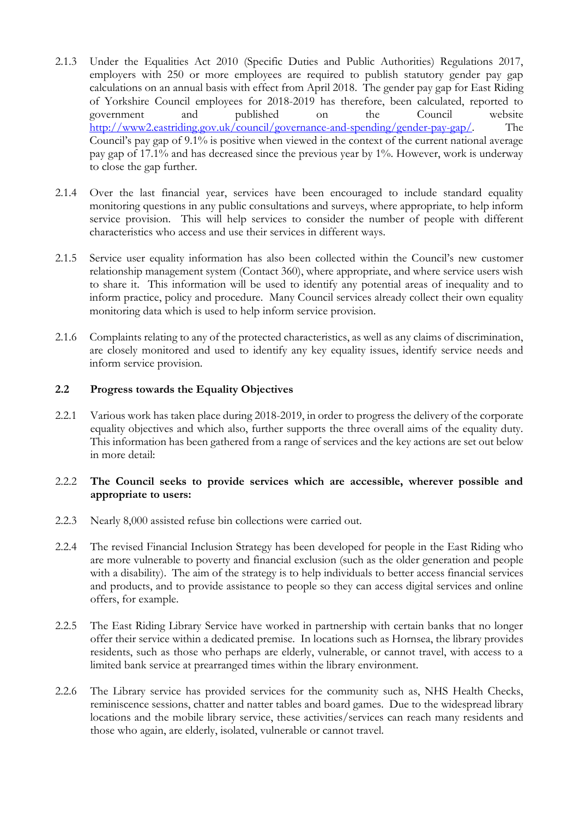- 2.1.3 Under the Equalities Act 2010 (Specific Duties and Public Authorities) Regulations 2017, employers with 250 or more employees are required to publish statutory gender pay gap calculations on an annual basis with effect from April 2018. The gender pay gap for East Riding of Yorkshire Council employees for 2018-2019 has therefore, been calculated, reported to government and published on the Council website [http://www2.eastriding.gov.uk/council/governance-and-spending/gender-pay-gap/.](http://www2.eastriding.gov.uk/council/governance-and-spending/gender-pay-gap/) The Council's pay gap of 9.1% is positive when viewed in the context of the current national average pay gap of 17.1% and has decreased since the previous year by 1%. However, work is underway to close the gap further.
- 2.1.4 Over the last financial year, services have been encouraged to include standard equality monitoring questions in any public consultations and surveys, where appropriate, to help inform service provision. This will help services to consider the number of people with different characteristics who access and use their services in different ways.
- 2.1.5 Service user equality information has also been collected within the Council's new customer relationship management system (Contact 360), where appropriate, and where service users wish to share it. This information will be used to identify any potential areas of inequality and to inform practice, policy and procedure. Many Council services already collect their own equality monitoring data which is used to help inform service provision.
- 2.1.6 Complaints relating to any of the protected characteristics, as well as any claims of discrimination, are closely monitored and used to identify any key equality issues, identify service needs and inform service provision.

### **2.2 Progress towards the Equality Objectives**

2.2.1 Various work has taken place during 2018-2019, in order to progress the delivery of the corporate equality objectives and which also, further supports the three overall aims of the equality duty. This information has been gathered from a range of services and the key actions are set out below in more detail:

### 2.2.2 **The Council seeks to provide services which are accessible, wherever possible and appropriate to users:**

- 2.2.3 Nearly 8,000 assisted refuse bin collections were carried out.
- 2.2.4 The revised Financial Inclusion Strategy has been developed for people in the East Riding who are more vulnerable to poverty and financial exclusion (such as the older generation and people with a disability). The aim of the strategy is to help individuals to better access financial services and products, and to provide assistance to people so they can access digital services and online offers, for example.
- 2.2.5 The East Riding Library Service have worked in partnership with certain banks that no longer offer their service within a dedicated premise. In locations such as Hornsea, the library provides residents, such as those who perhaps are elderly, vulnerable, or cannot travel, with access to a limited bank service at prearranged times within the library environment.
- 2.2.6 The Library service has provided services for the community such as, NHS Health Checks, reminiscence sessions, chatter and natter tables and board games. Due to the widespread library locations and the mobile library service, these activities/services can reach many residents and those who again, are elderly, isolated, vulnerable or cannot travel.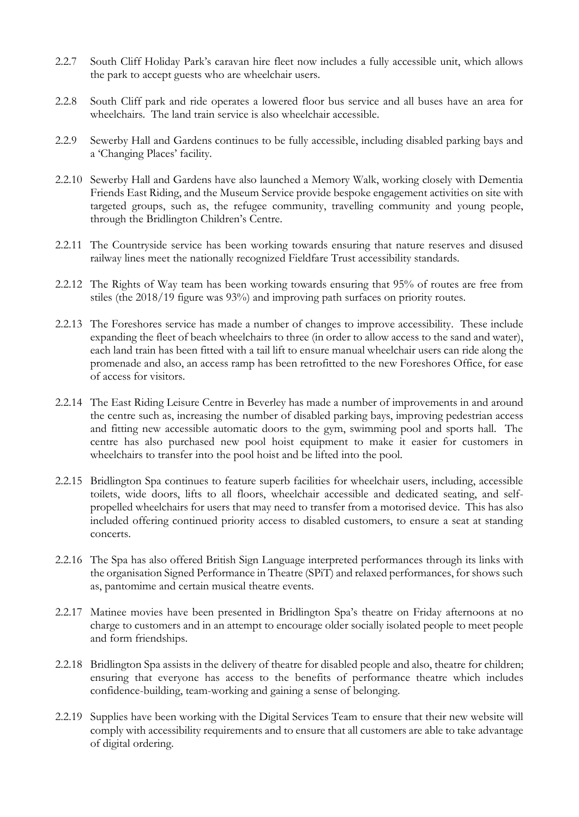- 2.2.7 South Cliff Holiday Park's caravan hire fleet now includes a fully accessible unit, which allows the park to accept guests who are wheelchair users.
- 2.2.8 South Cliff park and ride operates a lowered floor bus service and all buses have an area for wheelchairs. The land train service is also wheelchair accessible.
- 2.2.9 Sewerby Hall and Gardens continues to be fully accessible, including disabled parking bays and a 'Changing Places' facility.
- 2.2.10 Sewerby Hall and Gardens have also launched a Memory Walk, working closely with Dementia Friends East Riding, and the Museum Service provide bespoke engagement activities on site with targeted groups, such as, the refugee community, travelling community and young people, through the Bridlington Children's Centre.
- 2.2.11 The Countryside service has been working towards ensuring that nature reserves and disused railway lines meet the nationally recognized Fieldfare Trust accessibility standards.
- 2.2.12 The Rights of Way team has been working towards ensuring that 95% of routes are free from stiles (the 2018/19 figure was 93%) and improving path surfaces on priority routes.
- 2.2.13 The Foreshores service has made a number of changes to improve accessibility. These include expanding the fleet of beach wheelchairs to three (in order to allow access to the sand and water), each land train has been fitted with a tail lift to ensure manual wheelchair users can ride along the promenade and also, an access ramp has been retrofitted to the new Foreshores Office, for ease of access for visitors.
- 2.2.14 The East Riding Leisure Centre in Beverley has made a number of improvements in and around the centre such as, increasing the number of disabled parking bays, improving pedestrian access and fitting new accessible automatic doors to the gym, swimming pool and sports hall. The centre has also purchased new pool hoist equipment to make it easier for customers in wheelchairs to transfer into the pool hoist and be lifted into the pool.
- 2.2.15 Bridlington Spa continues to feature superb facilities for wheelchair users, including, accessible toilets, wide doors, lifts to all floors, wheelchair accessible and dedicated seating, and selfpropelled wheelchairs for users that may need to transfer from a motorised device. This has also included offering continued priority access to disabled customers, to ensure a seat at standing concerts.
- 2.2.16 The Spa has also offered British Sign Language interpreted performances through its links with the organisation Signed Performance in Theatre (SPiT) and relaxed performances, for shows such as, pantomime and certain musical theatre events.
- 2.2.17 Matinee movies have been presented in Bridlington Spa's theatre on Friday afternoons at no charge to customers and in an attempt to encourage older socially isolated people to meet people and form friendships.
- 2.2.18 Bridlington Spa assists in the delivery of theatre for disabled people and also, theatre for children; ensuring that everyone has access to the benefits of performance theatre which includes confidence-building, team-working and gaining a sense of belonging.
- 2.2.19 Supplies have been working with the Digital Services Team to ensure that their new website will comply with accessibility requirements and to ensure that all customers are able to take advantage of digital ordering.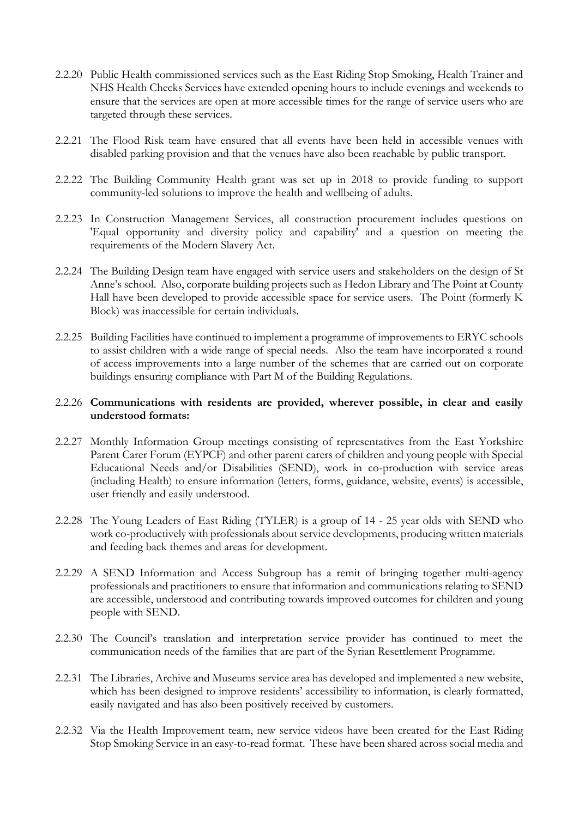- 2.2.20 Public Health commissioned services such as the East Riding Stop Smoking, Health Trainer and NHS Health Checks Services have extended opening hours to include evenings and weekends to ensure that the services are open at more accessible times for the range of service users who are targeted through these services.
- 2.2.21 The Flood Risk team have ensured that all events have been held in accessible venues with disabled parking provision and that the venues have also been reachable by public transport.
- 2.2.22 The Building Community Health grant was set up in 2018 to provide funding to support community-led solutions to improve the health and wellbeing of adults.
- 2.2.23 In Construction Management Services, all construction procurement includes questions on 'Equal opportunity and diversity policy and capability' and a question on meeting the requirements of the Modern Slavery Act.
- 2.2.24 The Building Design team have engaged with service users and stakeholders on the design of St Anne's school. Also, corporate building projects such as Hedon Library and The Point at County Hall have been developed to provide accessible space for service users. The Point (formerly K Block) was inaccessible for certain individuals.
- 2.2.25 Building Facilities have continued to implement a programme of improvements to ERYC schools to assist children with a wide range of special needs. Also the team have incorporated a round of access improvements into a large number of the schemes that are carried out on corporate buildings ensuring compliance with Part M of the Building Regulations.

### 2.2.26 **Communications with residents are provided, wherever possible, in clear and easily understood formats:**

- 2.2.27 Monthly Information Group meetings consisting of representatives from the East Yorkshire Parent Carer Forum (EYPCF) and other parent carers of children and young people with Special Educational Needs and/or Disabilities (SEND), work in co-production with service areas (including Health) to ensure information (letters, forms, guidance, website, events) is accessible, user friendly and easily understood.
- 2.2.28 The Young Leaders of East Riding (TYLER) is a group of 14 25 year olds with SEND who work co-productively with professionals about service developments, producing written materials and feeding back themes and areas for development.
- 2.2.29 A SEND Information and Access Subgroup has a remit of bringing together multi-agency professionals and practitioners to ensure that information and communications relating to SEND are accessible, understood and contributing towards improved outcomes for children and young people with SEND.
- 2.2.30 The Council's translation and interpretation service provider has continued to meet the communication needs of the families that are part of the Syrian Resettlement Programme.
- 2.2.31 The Libraries, Archive and Museums service area has developed and implemented a new website, which has been designed to improve residents' accessibility to information, is clearly formatted, easily navigated and has also been positively received by customers.
- 2.2.32 Via the Health Improvement team, new service videos have been created for the East Riding Stop Smoking Service in an easy-to-read format. These have been shared across social media and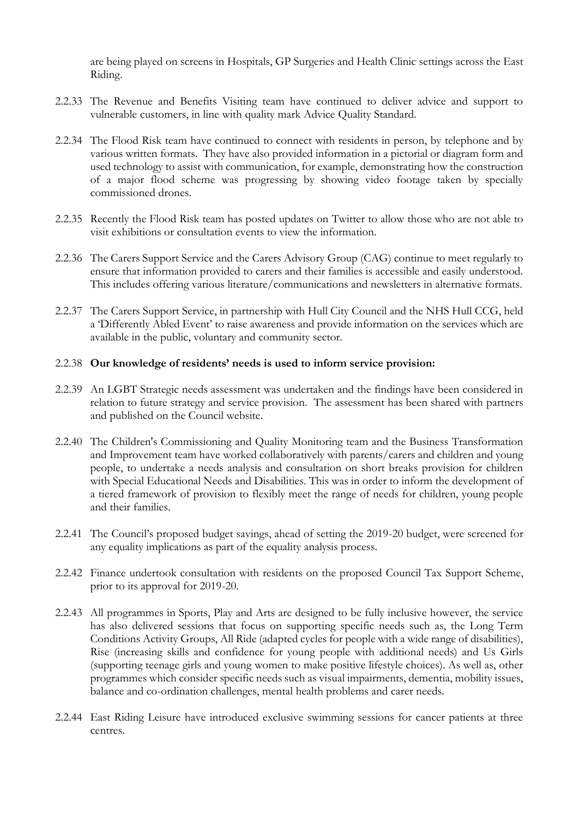are being played on screens in Hospitals, GP Surgeries and Health Clinic settings across the East Riding.

- 2.2.33 The Revenue and Benefits Visiting team have continued to deliver advice and support to vulnerable customers, in line with quality mark Advice Quality Standard.
- 2.2.34 The Flood Risk team have continued to connect with residents in person, by telephone and by various written formats. They have also provided information in a pictorial or diagram form and used technology to assist with communication, for example, demonstrating how the construction of a major flood scheme was progressing by showing video footage taken by specially commissioned drones.
- 2.2.35 Recently the Flood Risk team has posted updates on Twitter to allow those who are not able to visit exhibitions or consultation events to view the information.
- 2.2.36 The Carers Support Service and the Carers Advisory Group (CAG) continue to meet regularly to ensure that information provided to carers and their families is accessible and easily understood. This includes offering various literature/communications and newsletters in alternative formats.
- 2.2.37 The Carers Support Service, in partnership with Hull City Council and the NHS Hull CCG, held a 'Differently Abled Event' to raise awareness and provide information on the services which are available in the public, voluntary and community sector.

#### 2.2.38 **Our knowledge of residents' needs is used to inform service provision:**

- 2.2.39 An LGBT Strategic needs assessment was undertaken and the findings have been considered in relation to future strategy and service provision. The assessment has been shared with partners and published on the Council website.
- 2.2.40 The Children's Commissioning and Quality Monitoring team and the Business Transformation and Improvement team have worked collaboratively with parents/carers and children and young people, to undertake a needs analysis and consultation on short breaks provision for children with Special Educational Needs and Disabilities. This was in order to inform the development of a tiered framework of provision to flexibly meet the range of needs for children, young people and their families.
- 2.2.41 The Council's proposed budget savings, ahead of setting the 2019-20 budget, were screened for any equality implications as part of the equality analysis process.
- 2.2.42 Finance undertook consultation with residents on the proposed Council Tax Support Scheme, prior to its approval for 2019-20.
- 2.2.43 All programmes in Sports, Play and Arts are designed to be fully inclusive however, the service has also delivered sessions that focus on supporting specific needs such as, the Long Term Conditions Activity Groups, All Ride (adapted cycles for people with a wide range of disabilities), Rise (increasing skills and confidence for young people with additional needs) and Us Girls (supporting teenage girls and young women to make positive lifestyle choices). As well as, other programmes which consider specific needs such as visual impairments, dementia, mobility issues, balance and co-ordination challenges, mental health problems and carer needs.
- 2.2.44 East Riding Leisure have introduced exclusive swimming sessions for cancer patients at three centres.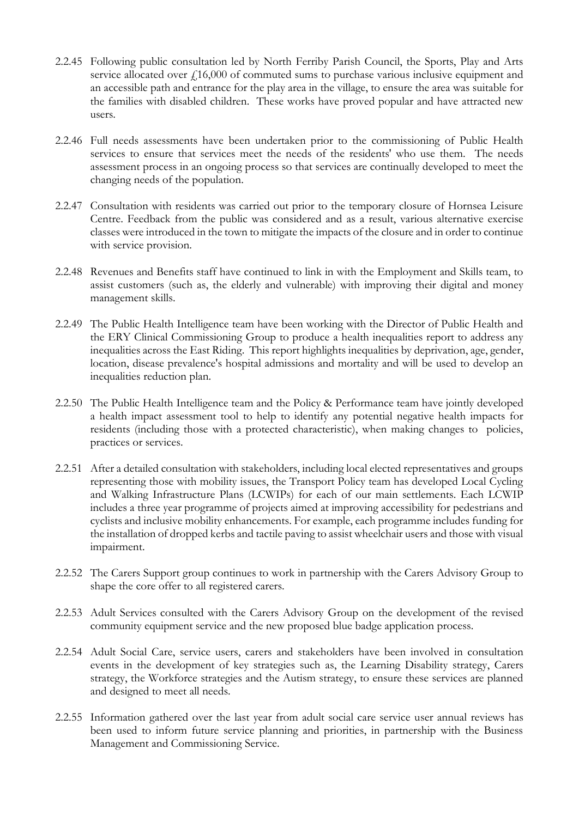- 2.2.45 Following public consultation led by North Ferriby Parish Council, the Sports, Play and Arts service allocated over  $f<sub>1</sub>16,000$  of commuted sums to purchase various inclusive equipment and an accessible path and entrance for the play area in the village, to ensure the area was suitable for the families with disabled children. These works have proved popular and have attracted new users.
- 2.2.46 Full needs assessments have been undertaken prior to the commissioning of Public Health services to ensure that services meet the needs of the residents' who use them. The needs assessment process in an ongoing process so that services are continually developed to meet the changing needs of the population.
- 2.2.47 Consultation with residents was carried out prior to the temporary closure of Hornsea Leisure Centre. Feedback from the public was considered and as a result, various alternative exercise classes were introduced in the town to mitigate the impacts of the closure and in order to continue with service provision.
- 2.2.48 Revenues and Benefits staff have continued to link in with the Employment and Skills team, to assist customers (such as, the elderly and vulnerable) with improving their digital and money management skills.
- 2.2.49 The Public Health Intelligence team have been working with the Director of Public Health and the ERY Clinical Commissioning Group to produce a health inequalities report to address any inequalities across the East Riding. This report highlights inequalities by deprivation, age, gender, location, disease prevalence's hospital admissions and mortality and will be used to develop an inequalities reduction plan.
- 2.2.50 The Public Health Intelligence team and the Policy & Performance team have jointly developed a health impact assessment tool to help to identify any potential negative health impacts for residents (including those with a protected characteristic), when making changes to policies, practices or services.
- 2.2.51 After a detailed consultation with stakeholders, including local elected representatives and groups representing those with mobility issues, the Transport Policy team has developed Local Cycling and Walking Infrastructure Plans (LCWIPs) for each of our main settlements. Each LCWIP includes a three year programme of projects aimed at improving accessibility for pedestrians and cyclists and inclusive mobility enhancements. For example, each programme includes funding for the installation of dropped kerbs and tactile paving to assist wheelchair users and those with visual impairment.
- 2.2.52 The Carers Support group continues to work in partnership with the Carers Advisory Group to shape the core offer to all registered carers.
- 2.2.53 Adult Services consulted with the Carers Advisory Group on the development of the revised community equipment service and the new proposed blue badge application process.
- 2.2.54 Adult Social Care, service users, carers and stakeholders have been involved in consultation events in the development of key strategies such as, the Learning Disability strategy, Carers strategy, the Workforce strategies and the Autism strategy, to ensure these services are planned and designed to meet all needs.
- 2.2.55 Information gathered over the last year from adult social care service user annual reviews has been used to inform future service planning and priorities, in partnership with the Business Management and Commissioning Service.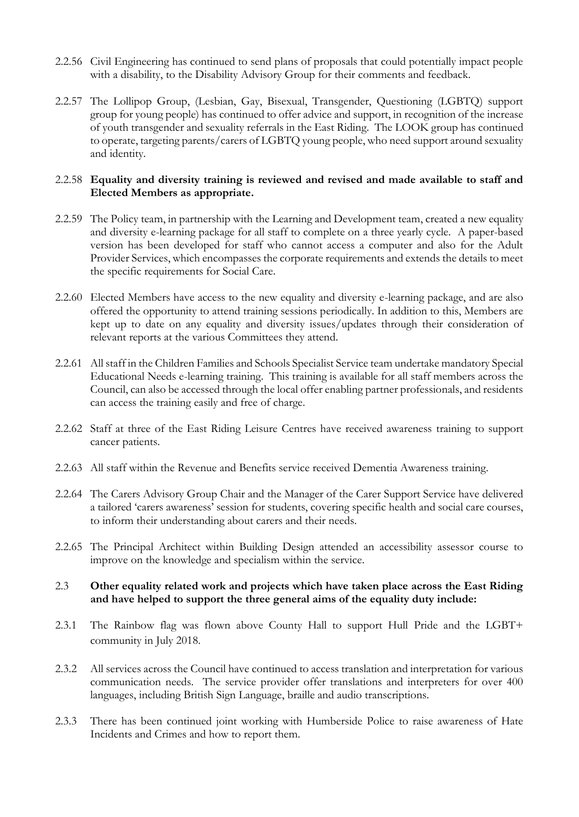- 2.2.56 Civil Engineering has continued to send plans of proposals that could potentially impact people with a disability, to the Disability Advisory Group for their comments and feedback.
- 2.2.57 The Lollipop Group, (Lesbian, Gay, Bisexual, Transgender, Questioning (LGBTQ) support group for young people) has continued to offer advice and support, in recognition of the increase of youth transgender and sexuality referrals in the East Riding. The LOOK group has continued to operate, targeting parents/carers of LGBTQ young people, who need support around sexuality and identity.

### 2.2.58 **Equality and diversity training is reviewed and revised and made available to staff and Elected Members as appropriate.**

- 2.2.59 The Policy team, in partnership with the Learning and Development team, created a new equality and diversity e-learning package for all staff to complete on a three yearly cycle. A paper-based version has been developed for staff who cannot access a computer and also for the Adult Provider Services, which encompasses the corporate requirements and extends the details to meet the specific requirements for Social Care.
- 2.2.60 Elected Members have access to the new equality and diversity e-learning package, and are also offered the opportunity to attend training sessions periodically. In addition to this, Members are kept up to date on any equality and diversity issues/updates through their consideration of relevant reports at the various Committees they attend.
- 2.2.61 All staff in the Children Families and Schools Specialist Service team undertake mandatory Special Educational Needs e-learning training. This training is available for all staff members across the Council, can also be accessed through the local offer enabling partner professionals, and residents can access the training easily and free of charge.
- 2.2.62 Staff at three of the East Riding Leisure Centres have received awareness training to support cancer patients.
- 2.2.63 All staff within the Revenue and Benefits service received Dementia Awareness training.
- 2.2.64 The Carers Advisory Group Chair and the Manager of the Carer Support Service have delivered a tailored 'carers awareness' session for students, covering specific health and social care courses, to inform their understanding about carers and their needs.
- 2.2.65 The Principal Architect within Building Design attended an accessibility assessor course to improve on the knowledge and specialism within the service.

### 2.3 **Other equality related work and projects which have taken place across the East Riding and have helped to support the three general aims of the equality duty include:**

- 2.3.1 The Rainbow flag was flown above County Hall to support Hull Pride and the LGBT+ community in July 2018.
- 2.3.2 All services across the Council have continued to access translation and interpretation for various communication needs. The service provider offer translations and interpreters for over 400 languages, including British Sign Language, braille and audio transcriptions.
- 2.3.3 There has been continued joint working with Humberside Police to raise awareness of Hate Incidents and Crimes and how to report them.